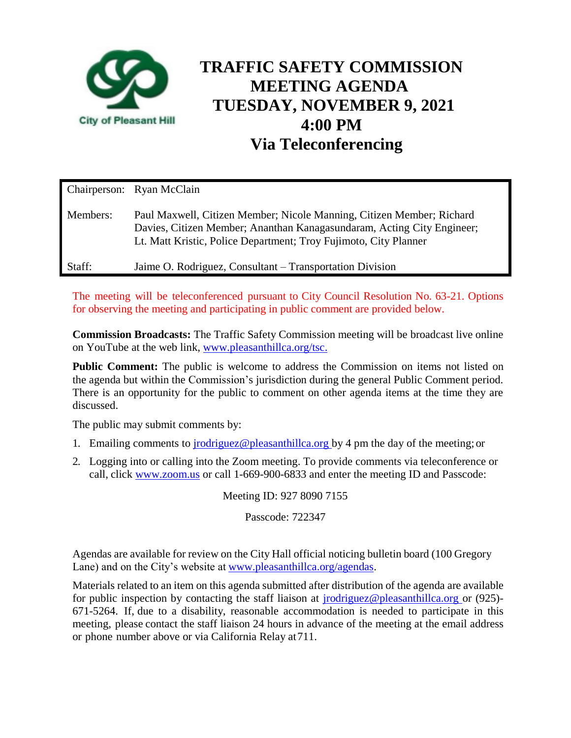

# **TRAFFIC SAFETY COMMISSION MEETING AGENDA TUESDAY, NOVEMBER 9, 2021 4:00 PM Via Teleconferencing**

|          | Chairperson: Ryan McClain                                                                                                                                                                                           |
|----------|---------------------------------------------------------------------------------------------------------------------------------------------------------------------------------------------------------------------|
| Members: | Paul Maxwell, Citizen Member; Nicole Manning, Citizen Member; Richard<br>Davies, Citizen Member; Ananthan Kanagasundaram, Acting City Engineer;<br>Lt. Matt Kristic, Police Department; Troy Fujimoto, City Planner |
| Staff:   | Jaime O. Rodriguez, Consultant – Transportation Division                                                                                                                                                            |

The meeting will be teleconferenced pursuant to City Council Resolution No. 63-21. Options for observing the meeting and participating in public comment are provided below.

**Commission Broadcasts:** The Traffic Safety Commission meeting will be broadcast live online on YouTube at the web link, [www.pleasanthillca.org/tsc.](http://www.pleasanthillca.org/tsc.)

**Public Comment:** The public is welcome to address the Commission on items not listed on the agenda but within the Commission's jurisdiction during the general Public Comment period. There is an opportunity for the public to comment on other agenda items at the time they are discussed.

The public may submit comments by:

- 1. Emailing comments to [jrodriguez@pleasanthillca.org b](mailto:jrodriguez@pleasanthillca.org)y 4 pm the day of the meeting;or
- 2. Logging into or calling into the Zoom meeting. To provide comments via teleconference or call, click www.zoom.us or call 1-669-900-6833 and enter the meeting ID and Passcode:

Meeting ID: 927 8090 7155

Passcode: 722347

Agendas are available for review on the City Hall official noticing bulletin board (100 Gregory Lane) and on the City's website at [www.pleasanthillca.org/agendas.](http://www.pleasanthillca.org/agendas)

Materials related to an item on this agenda submitted after distribution of the agenda are available for public inspection by contacting the staff liaison at [jrodriguez@pleasanthillca.org o](mailto:jrodriguez@pleasanthillca.org)r (925)- 671-5264. If, due to a disability, reasonable accommodation is needed to participate in this meeting, please contact the staff liaison 24 hours in advance of the meeting at the email address or phone number above or via California Relay at711.